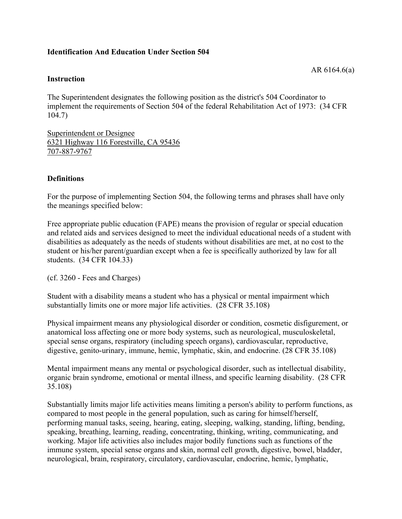### **Identification And Education Under Section 504**

#### **Instruction**

The Superintendent designates the following position as the district's 504 Coordinator to implement the requirements of Section 504 of the federal Rehabilitation Act of 1973: (34 CFR 104.7)

Superintendent or Designee 6321 Highway 116 Forestville, CA 95436 707-887-9767

### **Definitions**

For the purpose of implementing Section 504, the following terms and phrases shall have only the meanings specified below:

Free appropriate public education (FAPE) means the provision of regular or special education and related aids and services designed to meet the individual educational needs of a student with disabilities as adequately as the needs of students without disabilities are met, at no cost to the student or his/her parent/guardian except when a fee is specifically authorized by law for all students. (34 CFR 104.33)

(cf. 3260 - Fees and Charges)

Student with a disability means a student who has a physical or mental impairment which substantially limits one or more major life activities. (28 CFR 35.108)

Physical impairment means any physiological disorder or condition, cosmetic disfigurement, or anatomical loss affecting one or more body systems, such as neurological, musculoskeletal, special sense organs, respiratory (including speech organs), cardiovascular, reproductive, digestive, genito-urinary, immune, hemic, lymphatic, skin, and endocrine. (28 CFR 35.108)

Mental impairment means any mental or psychological disorder, such as intellectual disability, organic brain syndrome, emotional or mental illness, and specific learning disability. (28 CFR 35.108)

Substantially limits major life activities means limiting a person's ability to perform functions, as compared to most people in the general population, such as caring for himself/herself, performing manual tasks, seeing, hearing, eating, sleeping, walking, standing, lifting, bending, speaking, breathing, learning, reading, concentrating, thinking, writing, communicating, and working. Major life activities also includes major bodily functions such as functions of the immune system, special sense organs and skin, normal cell growth, digestive, bowel, bladder, neurological, brain, respiratory, circulatory, cardiovascular, endocrine, hemic, lymphatic,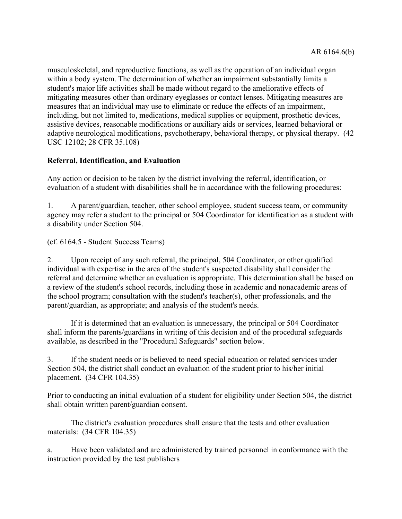musculoskeletal, and reproductive functions, as well as the operation of an individual organ within a body system. The determination of whether an impairment substantially limits a student's major life activities shall be made without regard to the ameliorative effects of mitigating measures other than ordinary eyeglasses or contact lenses. Mitigating measures are measures that an individual may use to eliminate or reduce the effects of an impairment, including, but not limited to, medications, medical supplies or equipment, prosthetic devices, assistive devices, reasonable modifications or auxiliary aids or services, learned behavioral or adaptive neurological modifications, psychotherapy, behavioral therapy, or physical therapy. (42 USC 12102; 28 CFR 35.108)

# **Referral, Identification, and Evaluation**

Any action or decision to be taken by the district involving the referral, identification, or evaluation of a student with disabilities shall be in accordance with the following procedures:

1. A parent/guardian, teacher, other school employee, student success team, or community agency may refer a student to the principal or 504 Coordinator for identification as a student with a disability under Section 504.

(cf. 6164.5 - Student Success Teams)

2. Upon receipt of any such referral, the principal, 504 Coordinator, or other qualified individual with expertise in the area of the student's suspected disability shall consider the referral and determine whether an evaluation is appropriate. This determination shall be based on a review of the student's school records, including those in academic and nonacademic areas of the school program; consultation with the student's teacher(s), other professionals, and the parent/guardian, as appropriate; and analysis of the student's needs.

If it is determined that an evaluation is unnecessary, the principal or 504 Coordinator shall inform the parents/guardians in writing of this decision and of the procedural safeguards available, as described in the "Procedural Safeguards" section below.

3. If the student needs or is believed to need special education or related services under Section 504, the district shall conduct an evaluation of the student prior to his/her initial placement. (34 CFR 104.35)

Prior to conducting an initial evaluation of a student for eligibility under Section 504, the district shall obtain written parent/guardian consent.

The district's evaluation procedures shall ensure that the tests and other evaluation materials: (34 CFR 104.35)

a. Have been validated and are administered by trained personnel in conformance with the instruction provided by the test publishers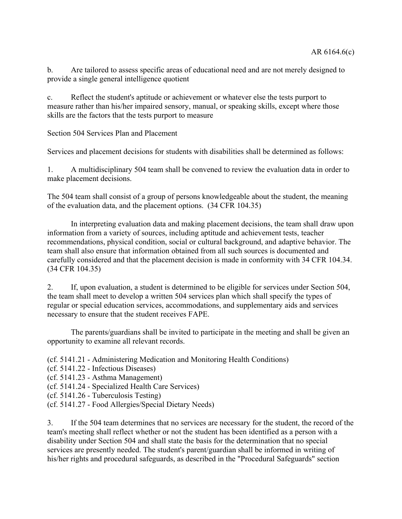b. Are tailored to assess specific areas of educational need and are not merely designed to provide a single general intelligence quotient

c. Reflect the student's aptitude or achievement or whatever else the tests purport to measure rather than his/her impaired sensory, manual, or speaking skills, except where those skills are the factors that the tests purport to measure

Section 504 Services Plan and Placement

Services and placement decisions for students with disabilities shall be determined as follows:

1. A multidisciplinary 504 team shall be convened to review the evaluation data in order to make placement decisions.

The 504 team shall consist of a group of persons knowledgeable about the student, the meaning of the evaluation data, and the placement options. (34 CFR 104.35)

In interpreting evaluation data and making placement decisions, the team shall draw upon information from a variety of sources, including aptitude and achievement tests, teacher recommendations, physical condition, social or cultural background, and adaptive behavior. The team shall also ensure that information obtained from all such sources is documented and carefully considered and that the placement decision is made in conformity with 34 CFR 104.34. (34 CFR 104.35)

2. If, upon evaluation, a student is determined to be eligible for services under Section 504, the team shall meet to develop a written 504 services plan which shall specify the types of regular or special education services, accommodations, and supplementary aids and services necessary to ensure that the student receives FAPE.

The parents/guardians shall be invited to participate in the meeting and shall be given an opportunity to examine all relevant records.

(cf. 5141.21 - Administering Medication and Monitoring Health Conditions)

- (cf. 5141.22 Infectious Diseases)
- (cf. 5141.23 Asthma Management)
- (cf. 5141.24 Specialized Health Care Services)
- (cf. 5141.26 Tuberculosis Testing)
- (cf. 5141.27 Food Allergies/Special Dietary Needs)

3. If the 504 team determines that no services are necessary for the student, the record of the team's meeting shall reflect whether or not the student has been identified as a person with a disability under Section 504 and shall state the basis for the determination that no special services are presently needed. The student's parent/guardian shall be informed in writing of his/her rights and procedural safeguards, as described in the "Procedural Safeguards" section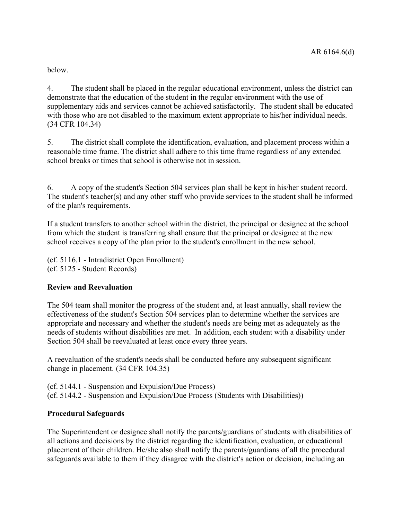below.

4. The student shall be placed in the regular educational environment, unless the district can demonstrate that the education of the student in the regular environment with the use of supplementary aids and services cannot be achieved satisfactorily. The student shall be educated with those who are not disabled to the maximum extent appropriate to his/her individual needs. (34 CFR 104.34)

5. The district shall complete the identification, evaluation, and placement process within a reasonable time frame. The district shall adhere to this time frame regardless of any extended school breaks or times that school is otherwise not in session.

6. A copy of the student's Section 504 services plan shall be kept in his/her student record. The student's teacher(s) and any other staff who provide services to the student shall be informed of the plan's requirements.

If a student transfers to another school within the district, the principal or designee at the school from which the student is transferring shall ensure that the principal or designee at the new school receives a copy of the plan prior to the student's enrollment in the new school.

(cf. 5116.1 - Intradistrict Open Enrollment) (cf. 5125 - Student Records)

## **Review and Reevaluation**

The 504 team shall monitor the progress of the student and, at least annually, shall review the effectiveness of the student's Section 504 services plan to determine whether the services are appropriate and necessary and whether the student's needs are being met as adequately as the needs of students without disabilities are met. In addition, each student with a disability under Section 504 shall be reevaluated at least once every three years.

A reevaluation of the student's needs shall be conducted before any subsequent significant change in placement. (34 CFR 104.35)

(cf. 5144.1 - Suspension and Expulsion/Due Process) (cf. 5144.2 - Suspension and Expulsion/Due Process (Students with Disabilities))

## **Procedural Safeguards**

The Superintendent or designee shall notify the parents/guardians of students with disabilities of all actions and decisions by the district regarding the identification, evaluation, or educational placement of their children. He/she also shall notify the parents/guardians of all the procedural safeguards available to them if they disagree with the district's action or decision, including an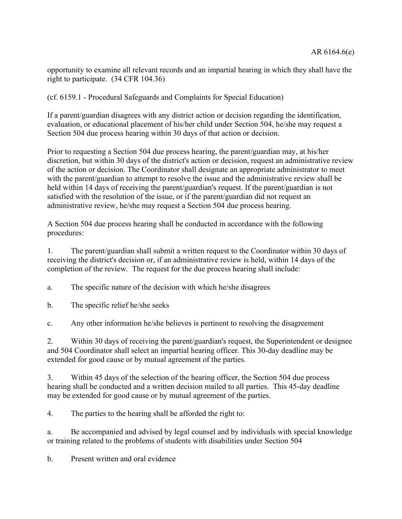opportunity to examine all relevant records and an impartial hearing in which they shall have the right to participate. (34 CFR 104.36)

(cf. 6159.1 - Procedural Safeguards and Complaints for Special Education)

If a parent/guardian disagrees with any district action or decision regarding the identification, evaluation, or educational placement of his/her child under Section 504, he/she may request a Section 504 due process hearing within 30 days of that action or decision.

Prior to requesting a Section 504 due process hearing, the parent/guardian may, at his/her discretion, but within 30 days of the district's action or decision, request an administrative review of the action or decision. The Coordinator shall designate an appropriate administrator to meet with the parent/guardian to attempt to resolve the issue and the administrative review shall be held within 14 days of receiving the parent/guardian's request. If the parent/guardian is not satisfied with the resolution of the issue, or if the parent/guardian did not request an administrative review, he/she may request a Section 504 due process hearing.

A Section 504 due process hearing shall be conducted in accordance with the following procedures:

1. The parent/guardian shall submit a written request to the Coordinator within 30 days of receiving the district's decision or, if an administrative review is held, within 14 days of the completion of the review. The request for the due process hearing shall include:

a. The specific nature of the decision with which he/she disagrees

b. The specific relief he/she seeks

c. Any other information he/she believes is pertinent to resolving the disagreement

2. Within 30 days of receiving the parent/guardian's request, the Superintendent or designee and 504 Coordinator shall select an impartial hearing officer. This 30-day deadline may be extended for good cause or by mutual agreement of the parties.

3. Within 45 days of the selection of the hearing officer, the Section 504 due process hearing shall be conducted and a written decision mailed to all parties. This 45-day deadline may be extended for good cause or by mutual agreement of the parties.

4. The parties to the hearing shall be afforded the right to:

a. Be accompanied and advised by legal counsel and by individuals with special knowledge or training related to the problems of students with disabilities under Section 504

b. Present written and oral evidence